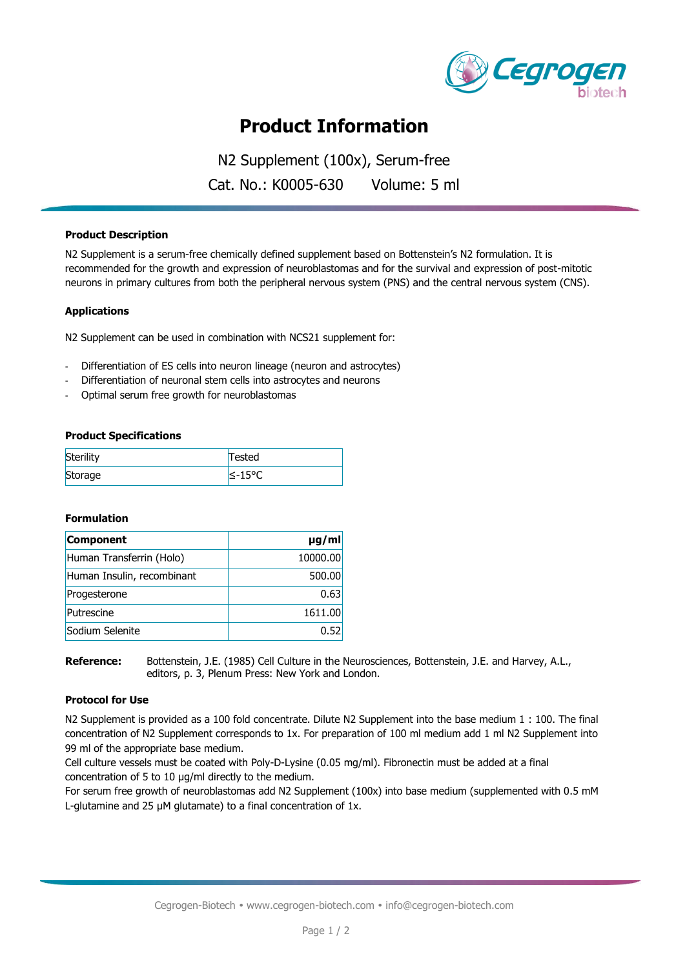

# **Product Information**

N2 Supplement (100x), Serum-free Cat. No.: K0005-630 Volume: 5 ml

### **Product Description**

N2 Supplement is a serum-free chemically defined supplement based on Bottenstein's N2 formulation. It is recommended for the growth and expression of neuroblastomas and for the survival and expression of post-mitotic neurons in primary cultures from both the peripheral nervous system (PNS) and the central nervous system (CNS).

### **Applications**

N2 Supplement can be used in combination with NCS21 supplement for:

- Differentiation of ES cells into neuron lineage (neuron and astrocytes)
- Differentiation of neuronal stem cells into astrocytes and neurons
- Optimal serum free growth for neuroblastomas

#### **Product Specifications**

| Sterility | Tested              |
|-----------|---------------------|
| Storage   | <sup>1</sup> ≤-15°C |

#### **Formulation**

| Component                  | $\mu$ g/ml |
|----------------------------|------------|
| Human Transferrin (Holo)   | 10000.00   |
| Human Insulin, recombinant | 500.00     |
| Progesterone               | 0.63       |
| Putrescine                 | 1611.00    |
| Sodium Selenite            | 0.52       |

**Reference:** Bottenstein, J.E. (1985) Cell Culture in the Neurosciences, Bottenstein, J.E. and Harvey, A.L., editors, p. 3, Plenum Press: New York and London.

#### **Protocol for Use**

N2 Supplement is provided as a 100 fold concentrate. Dilute N2 Supplement into the base medium 1 : 100. The final concentration of N2 Supplement corresponds to 1x. For preparation of 100 ml medium add 1 ml N2 Supplement into 99 ml of the appropriate base medium.

Cell culture vessels must be coated with Poly-D-Lysine (0.05 mg/ml). Fibronectin must be added at a final concentration of 5 to 10 μg/ml directly to the medium.

For serum free growth of neuroblastomas add N2 Supplement (100x) into base medium (supplemented with 0.5 mM L-glutamine and 25 μM glutamate) to a final concentration of 1x.